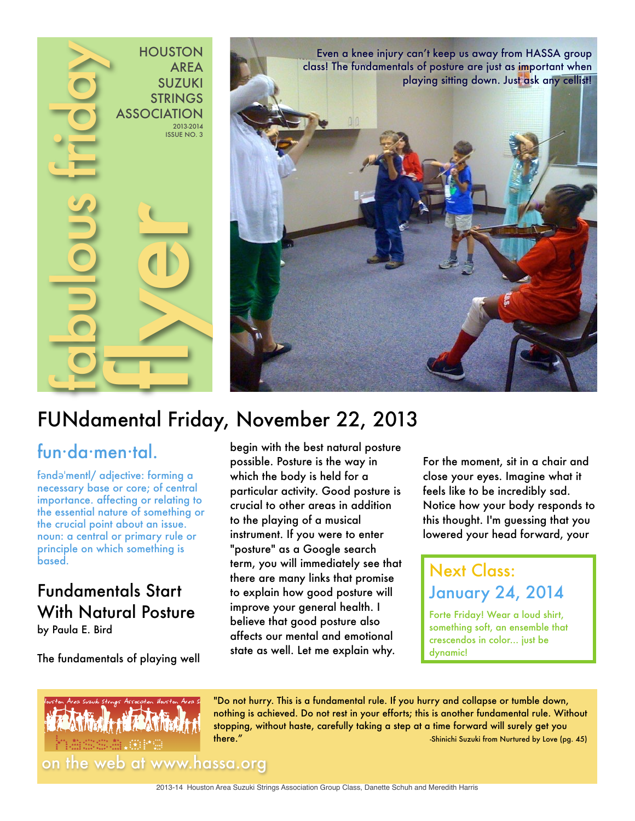



## fun·da·men·tal.

fəndəˈmentl/ adjective: forming a necessary base or core; of central importance. affecting or relating to the essential nature of something or the crucial point about an issue. noun: a central or primary rule or principle on which something is based.

# Fundamentals Start With Natural Posture

by Paula E. Bird

The fundamentals of playing well

begin with the best natural posture possible. Posture is the way in which the body is held for a particular activity. Good posture is crucial to other areas in addition to the playing of a musical instrument. If you were to enter "posture" as a Google search term, you will immediately see that there are many links that promise to explain how good posture will improve your general health. I believe that good posture also affects our mental and emotional state as well. Let me explain why.

For the moment, sit in a chair and close your eyes. Imagine what it feels like to be incredibly sad. Notice how your body responds to this thought. I'm guessing that you lowered your head forward, your

# Next Class: January 24, 2014

Forte Friday! Wear a loud shirt, something soft, an ensemble that crescendos in color... just be dynamic!



"Do not hurry. This is a fundamental rule. If you hurry and collapse or tumble down, nothing is achieved. Do not rest in your efforts; this is another fundamental rule. Without stopping, without haste, carefully taking a step at a time forward will surely get you there." -Shinichi Suzuki from Nurtured by Love (pg. 45) the shinichi Suzuki from Nurtured by Love (pg. 45)

2013-14 Houston Area Suzuki Strings Association Group Class, Danette Schuh and Meredith Harris